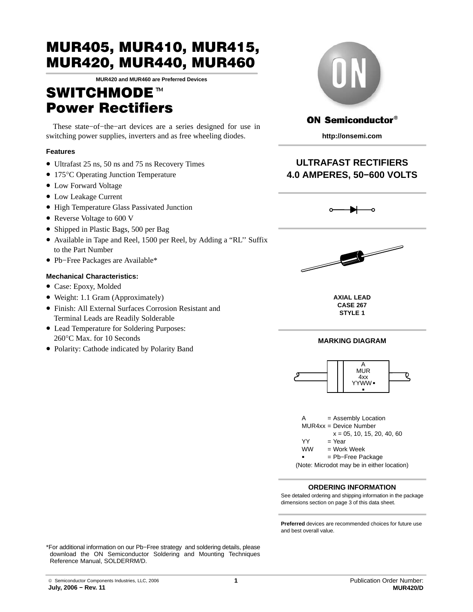**MUR420 and MUR460 are Preferred Devices**

# SWITCHMODE<sup>™</sup> Power Rectifiers

These state−of−the−art devices are a series designed for use in switching power supplies, inverters and as free wheeling diodes.

### **Features**

- Ultrafast 25 ns, 50 ns and 75 ns Recovery Times
- 175°C Operating Junction Temperature
- Low Forward Voltage
- Low Leakage Current
- High Temperature Glass Passivated Junction
- Reverse Voltage to 600 V
- Shipped in Plastic Bags, 500 per Bag
- Available in Tape and Reel, 1500 per Reel, by Adding a "RL'' Suffix to the Part Number
- Pb−Free Packages are Available\*

### **Mechanical Characteristics:**

- Case: Epoxy, Molded
- Weight: 1.1 Gram (Approximately)
- Finish: All External Surfaces Corrosion Resistant and Terminal Leads are Readily Solderable
- Lead Temperature for Soldering Purposes: 260°C Max. for 10 Seconds
- Polarity: Cathode indicated by Polarity Band



### **ON Semiconductor®**

**http://onsemi.com**

# **ULTRAFAST RECTIFIERS 4.0 AMPERES, 50−600 VOLTS**





**AXIAL LEAD CASE 267 STYLE 1**

### **MARKING DIAGRAM**





### **ORDERING INFORMATION**

See detailed ordering and shipping information in the package dimensions section on page [3 of this data sheet.](#page-2-0)

**Preferred** devices are recommended choices for future use and best overall value.

\*For additional information on our Pb−Free strategy and soldering details, please download the ON Semiconductor Soldering and Mounting Techniques Reference Manual, SOLDERRM/D.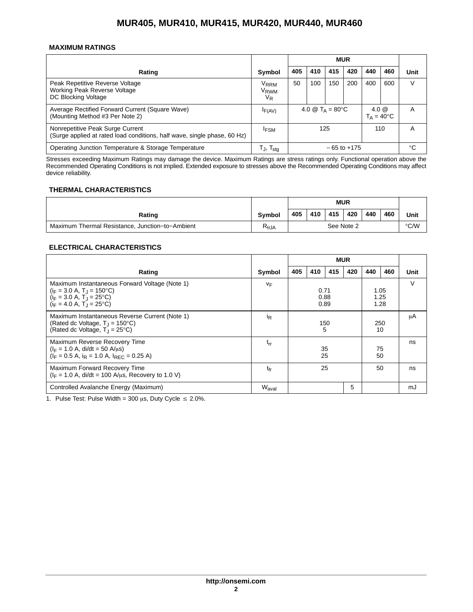### **MAXIMUM RATINGS**

|                                                                                                              |                                                 | <b>MUR</b>      |                                        |     |     |         |                     |      |
|--------------------------------------------------------------------------------------------------------------|-------------------------------------------------|-----------------|----------------------------------------|-----|-----|---------|---------------------|------|
| Rating                                                                                                       | Symbol                                          | 405             | 410                                    | 415 | 420 | 440     | 460                 | Unit |
| Peak Repetitive Reverse Voltage<br>Working Peak Reverse Voltage<br>DC Blocking Voltage                       | V <sub>RRM</sub><br>V <sub>RWM</sub><br>$V_{R}$ | 50              | 100                                    | 150 | 200 | 400     | 600                 | V    |
| Average Rectified Forward Current (Square Wave)<br>(Mounting Method #3 Per Note 2)                           | IF(AV)                                          |                 | 4.0 $\circledR$ T <sub>A</sub> = 80 °C |     |     | 4.0 $@$ | $T_A = 40^{\circ}C$ | A    |
| Nonrepetitive Peak Surge Current<br>(Surge applied at rated load conditions, half wave, single phase, 60 Hz) | <b>IFSM</b>                                     | 110<br>125      |                                        |     | A   |         |                     |      |
| Operating Junction Temperature & Storage Temperature                                                         | T., T <sub>stq</sub>                            | $-65$ to $+175$ |                                        | °C  |     |         |                     |      |

Stresses exceeding Maximum Ratings may damage the device. Maximum Ratings are stress ratings only. Functional operation above the Recommended Operating Conditions is not implied. Extended exposure to stresses above the Recommended Operating Conditions may affect device reliability.

### **THERMAL CHARACTERISTICS**

|                                                 |                | <b>MUR</b> |     |      |     |     |     |      |
|-------------------------------------------------|----------------|------------|-----|------|-----|-----|-----|------|
| Rating                                          | <b>Symbol</b>  | 405        | 410 | 415  | 420 | 440 | 460 | Unit |
| Maximum Thermal Resistance, Junction-to-Ambient | $R_{\theta$ JA | See Note 2 |     | °C/W |     |     |     |      |

### **ELECTRICAL CHARACTERISTICS**

|                                                                                                                                                                   |                   | <b>MUR</b>           |          |                      |           |     |          |      |
|-------------------------------------------------------------------------------------------------------------------------------------------------------------------|-------------------|----------------------|----------|----------------------|-----------|-----|----------|------|
| Rating                                                                                                                                                            | Symbol            | 405                  | 410      | 415                  | 420       | 440 | 460      | Unit |
| Maximum Instantaneous Forward Voltage (Note 1)<br>$(i_F = 3.0 A, T_1 = 150^{\circ}C)$<br>$(i_F = 3.0 A, T_1 = 25^{\circ}C)$<br>$(i_F = 4.0 A, T_1 = 25^{\circ}C)$ | VF                | 0.71<br>0.88<br>0.89 |          | 1.05<br>1.25<br>1.28 |           |     | $\vee$   |      |
| Maximum Instantaneous Reverse Current (Note 1)<br>(Rated dc Voltage, $T_1 = 150^{\circ}$ C)<br>(Rated dc Voltage, $T_1 = 25^{\circ}C$ )                           | İR                |                      | 150<br>5 |                      | 250<br>10 |     | μA       |      |
| Maximum Reverse Recovery Time<br>$(I_F = 1.0 A, \text{di/dt} = 50 A/\mu s)$<br>$(I_F = 0.5 A, i_R = 1.0 A, I_{RFC} = 0.25 A)$                                     | $t_{rr}$          |                      | 35       | 25                   |           |     | 75<br>50 | ns   |
| Maximum Forward Recovery Time<br>$(I_F = 1.0 A, \text{ di/dt} = 100 A/\mu s, \text{ Recovery to } 1.0 V)$                                                         | tfr               | 25<br>50             |          |                      | ns        |     |          |      |
| Controlled Avalanche Energy (Maximum)                                                                                                                             | W <sub>aval</sub> |                      |          |                      | 5         |     |          | mJ   |

1. Pulse Test: Pulse Width = 300  $\mu$ s, Duty Cycle  $\leq$  2.0%.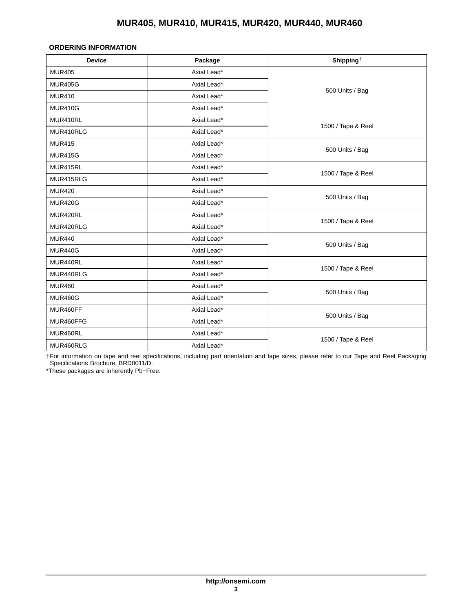### <span id="page-2-0"></span>**ORDERING INFORMATION**

| <b>Device</b>  | Package     | Shipping <sup><math>\dagger</math></sup> |
|----------------|-------------|------------------------------------------|
| <b>MUR405</b>  | Axial Lead* |                                          |
| <b>MUR405G</b> | Axial Lead* |                                          |
| <b>MUR410</b>  | Axial Lead* | 500 Units / Bag                          |
| <b>MUR410G</b> | Axial Lead* |                                          |
| MUR410RL       | Axial Lead* |                                          |
| MUR410RLG      | Axial Lead* | 1500 / Tape & Reel                       |
| <b>MUR415</b>  | Axial Lead* |                                          |
| <b>MUR415G</b> | Axial Lead* | 500 Units / Bag                          |
| MUR415RL       | Axial Lead* |                                          |
| MUR415RLG      | Axial Lead* | 1500 / Tape & Reel                       |
| <b>MUR420</b>  | Axial Lead* |                                          |
| <b>MUR420G</b> | Axial Lead* | 500 Units / Bag                          |
| MUR420RL       | Axial Lead* |                                          |
| MUR420RLG      | Axial Lead* | 1500 / Tape & Reel                       |
| <b>MUR440</b>  | Axial Lead* |                                          |
| <b>MUR440G</b> | Axial Lead* | 500 Units / Bag                          |
| MUR440RL       | Axial Lead* |                                          |
| MUR440RLG      | Axial Lead* | 1500 / Tape & Reel                       |
| <b>MUR460</b>  | Axial Lead* |                                          |
| <b>MUR460G</b> | Axial Lead* | 500 Units / Bag                          |
| MUR460FF       | Axial Lead* |                                          |
| MUR460FFG      | Axial Lead* | 500 Units / Bag                          |
| MUR460RL       | Axial Lead* |                                          |
| MUR460RLG      | Axial Lead* | 1500 / Tape & Reel                       |

†For information on tape and reel specifications, including part orientation and tape sizes, please refer to our Tape and Reel Packaging Specifications Brochure, BRD8011/D.

\*These packages are inherently Pb−Free.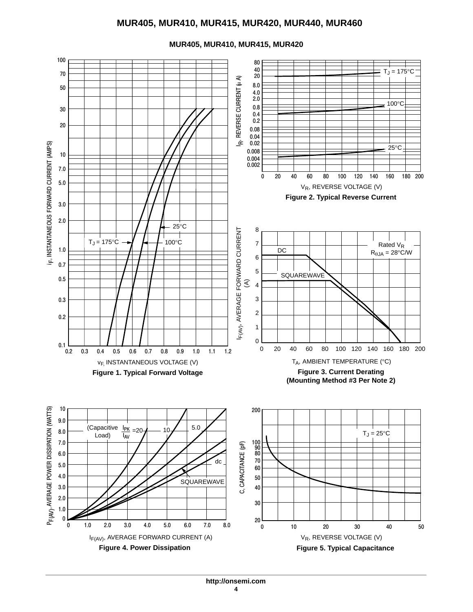

**MUR405, MUR410, MUR415, MUR420**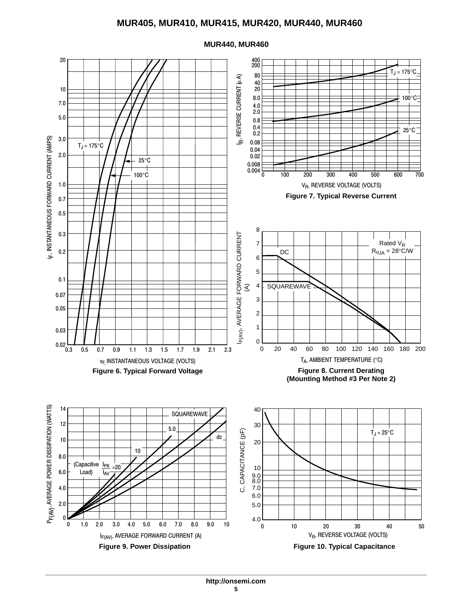

#### **MUR440, MUR460**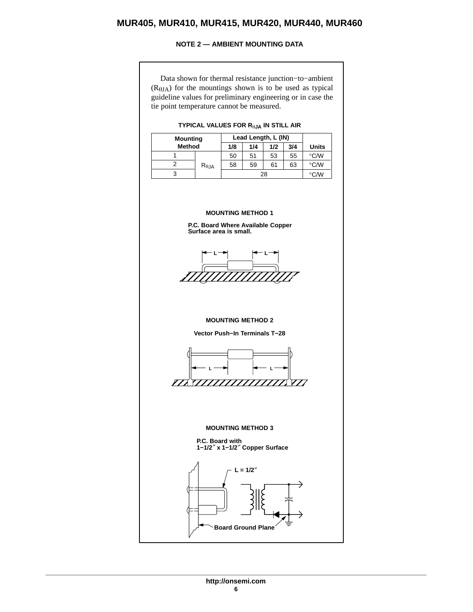### **NOTE 2 — AMBIENT MOUNTING DATA**

<span id="page-5-0"></span>Data shown for thermal resistance junction−to−ambient  $(R<sub>0JA</sub>)$  for the mountings shown is to be used as typical guideline values for preliminary engineering or in case the tie point temperature cannot be measured.

### **TYPICAL VALUES FOR R**-**JA IN STILL AIR**

|               | <b>Mounting</b> |     | Lead Length, L (IN) |     |     |              |  |
|---------------|-----------------|-----|---------------------|-----|-----|--------------|--|
| <b>Method</b> |                 | 1/8 | 1/4                 | 1/2 | 3/4 | <b>Units</b> |  |
|               |                 | 50  | 51                  | 53  | 55  | °C/W         |  |
|               | $R_{\theta,JA}$ | 58  | 59                  | 61  | 63  | °C/W         |  |
|               |                 |     | $^{\circ}$ C/W      |     |     |              |  |

### **MOUNTING METHOD 1**





#### **MOUNTING METHOD 2**

**Vector Push−In Terminals T−28**



#### **MOUNTING METHOD 3**

**P.C. Board with 1−1/2**″ **x 1−1/2**″ **Copper Surface**